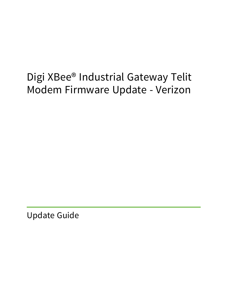# Digi XBee® Industrial Gateway Telit Modem Firmware Update - Verizon

Update Guide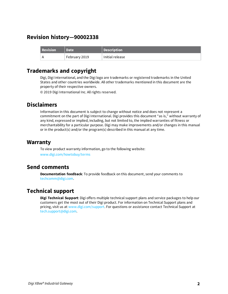# **Revision history—90002338**

| <b>Revision</b> | <b>Date</b>     | Description     |
|-----------------|-----------------|-----------------|
|                 | February 2019 ' | Initial release |

## **Trademarks and copyright**

Digi, Digi International, and the Digi logo are trademarks or registered trademarks in the United States and other countries worldwide. All other trademarks mentioned in this document are the property of their respective owners.

© 2019 Digi International Inc. All rights reserved.

# **Disclaimers**

Information in this document is subject to change without notice and does not represent a commitment on the part of Digi International. Digi provides this document "as is," without warranty of any kind, expressed or implied, including, but not limited to, the implied warranties of fitness or merchantability for a particular purpose. Digi may make improvements and/or changes in this manual or in the product(s) and/or the program(s) described in this manual at any time.

### **Warranty**

To view product warranty information, go to the following website: [www.digi.com/howtobuy/terms](http://www.digi.com/howtobuy/terms)

## **Send comments**

**Documentation feedback**: To provide feedback on this document, send your comments to [techcomm@digi.com](mailto:techcomm@digi.com).

# **Technical support**

**Digi Technical Support**: Digi offers multiple technical support plans and service packages to help our customers get the most out of their Digi product. For information on Technical Support plans and pricing, visit us at [www.digi.com/support](http://www.digi.com/support). For questions or assistance contact Technical Support at [tech.support@digi.com.](mailto:tech.support@digi.com)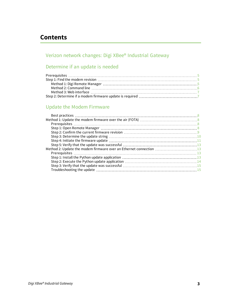# **Contents**

# Verizon network changes: Digi XBee® [Industrial](#page-3-0) Gateway

# [Determine](#page-4-0) if an update is needed

# Update the Modem [Firmware](#page-7-0)

| Method 2: Update the modem firmware over an Ethernet connection 13 |  |
|--------------------------------------------------------------------|--|
|                                                                    |  |
|                                                                    |  |
|                                                                    |  |
|                                                                    |  |
|                                                                    |  |
|                                                                    |  |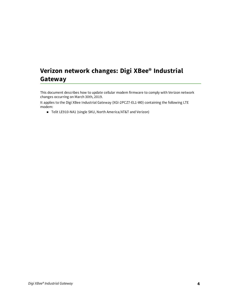# <span id="page-3-0"></span>**Verizon network changes: Digi XBee® Industrial Gateway**

This document describes how to update cellular modem firmware to comply with Verizon network changes occurring on March 30th, 2019.

It applies to the Digi XBee Industrial Gateway (XGI-2PCZ7-EL1-W0) containing the following LTE modem:

■ Telit LE910-NA1 (single SKU, North America/AT&T and Verizon)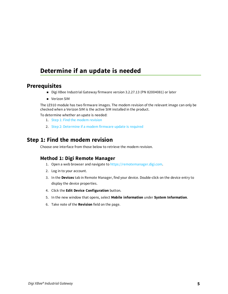# <span id="page-4-0"></span>**Determine if an update is needed**

### <span id="page-4-1"></span>**Prerequisites**

- Digi XBee Industrial Gateway firmware version 3.2.27.13 (PN 82004081) or later
- **N** Verizon SIM

The LE910 module has two firmware images. The modem revision of the relevant image can only be checked when a Verizon SIM is the active SIM installed in the product.

To determine whether an upate is needed:

- 1. Step 1: Find the modem [revision](#page-4-2)
- 2. Step 2: [Determine](#page-6-1) if a modem firmware update is required

### <span id="page-4-2"></span>**Step 1: Find the modem revision**

<span id="page-4-3"></span>Choose one interface from those below to retrieve the modem revision.

#### **Method 1: Digi Remote Manager**

- 1. Open a web browser and navigate to [https://remotemanager.digi.com.](https://remotemanager.digi.com/)
- 2. Log in to your account.
- 3. In the **Devices** tab in Remote Manager, find your device. Double-click on the device entry to display the device properties.
- 4. Click the **Edit Device Configuration** button.
- 5. In the new window that opens, select **Mobile information** under **System Information**.
- 6. Take note of the **Revision** field on the page.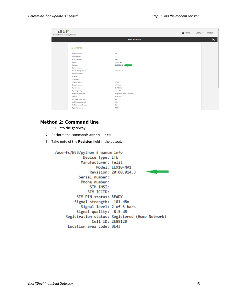| <b>Mobile Information</b><br><b>MOBILE STATS</b>                                                                                                                                                                                                                                                                                                                                                                                                                                                                                                                                                             | $\boxed{\mathbf{c}}$ |
|--------------------------------------------------------------------------------------------------------------------------------------------------------------------------------------------------------------------------------------------------------------------------------------------------------------------------------------------------------------------------------------------------------------------------------------------------------------------------------------------------------------------------------------------------------------------------------------------------------------|----------------------|
|                                                                                                                                                                                                                                                                                                                                                                                                                                                                                                                                                                                                              |                      |
|                                                                                                                                                                                                                                                                                                                                                                                                                                                                                                                                                                                                              |                      |
| <b>Mobile Version</b><br>2.0<br><b>Device Type</b><br>LTE<br>Telit<br>Manufacturer<br>Model<br>LE910-NA1<br>Revision<br>$20.00.524.3 -$<br>Serial number<br><b>Provisioning status</b><br>Provisioned<br><b>Phone number</b><br><b>SIM IMSI</b><br><b>SIM ICCID</b><br><b>READY</b><br><b>SIM PIN status</b><br>Signal strength<br>$-98$ dBm<br>2 of 3 bars<br><b>Signal level</b><br>$-11.5$ dB<br><b>Signal quality</b><br><b>Registration status</b><br>Registered (Home Network)<br>Cell ID<br>4E60717<br>Location area code<br>4611<br>Mobile country code<br>310<br>Mobile network code<br>410<br>AT&T |                      |

### <span id="page-5-0"></span>**Method 2: Command line**

- 1. SSH into the gateway.
- 2. Perform the command: wancm info
- 3. Take note of the **Revision** field in the output.

```
/userfs/WEB/python # wancm info
             Device Type: LTE
            Manufacturer: Telit
                   Model: LE910-NA1
                Revision: 20.00.014.3
           Serial number:
            Phone number:
                SIM IMSI:
               SIM ICCID:
          SIM PIN status: READY
         Signal strength: -101 dBm
            Signal level: 2 of 3 bars
          Signal quality: -8.5 dB
     Registration status: Registered (Home Network)
                 Cell ID: 2E89120
      Location area code: BE43
```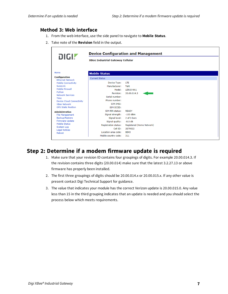### <span id="page-6-0"></span>**Method 3: Web interface**

- 1. From the web interface, use the side panel to navigate to **Mobile Status**.
- 2. Take note of the **Revision** field in the output.

| DIGI.                                                                                                                                                                                      | <b>Device Configuration and Management</b><br><b>XBee Industrial Gateway Cellular</b>                                                                   |                                                                                                               |  |  |  |
|--------------------------------------------------------------------------------------------------------------------------------------------------------------------------------------------|---------------------------------------------------------------------------------------------------------------------------------------------------------|---------------------------------------------------------------------------------------------------------------|--|--|--|
|                                                                                                                                                                                            |                                                                                                                                                         |                                                                                                               |  |  |  |
| Home                                                                                                                                                                                       | <b>Mobile Status</b>                                                                                                                                    |                                                                                                               |  |  |  |
| <b>Configuration</b><br><b>Ethernet Network</b>                                                                                                                                            | <b>Current Status</b>                                                                                                                                   |                                                                                                               |  |  |  |
| <b>Mobile Connectivity</b><br>SureLink<br><b>Mobile Firewall</b><br>Python<br><b>Network Services</b><br>Time<br><b>Device Cloud Connectivity</b><br><b>XBee Network</b>                   | Device Type:<br>Manufacturer:<br>Model:<br>Revision:<br>Serial number:<br>Phone number:<br>SIM IMSI:                                                    | LTE<br>Telit<br>LE910-NA1<br>20.00.014.3                                                                      |  |  |  |
| <b>GPS Static Position</b><br><b>Administration</b><br><b>File Management</b><br>Backup/Restore<br><b>Firmware Update</b><br>Mobile Status<br>System Log<br><b>Legal Notices</b><br>Reboot | SIM ICCID:<br>SIM PIN status:<br>Signal strength:<br>Signal level:<br>Signal quality:<br><b>Registration status:</b><br>Cell ID:<br>Location area code: | <b>READY</b><br>$-100$ dBm<br>2 of 3 bars<br>$-8.0$ dB<br>Registered (Home Network)<br>2E79022<br><b>BE43</b> |  |  |  |

# <span id="page-6-1"></span>**Step 2: Determine if a modem firmware update is required**

- 1. Make sure that your revision ID contains four groupings of digits. For example 20.00.014.3. If the revision contains three digits (20.00.014) make sure that the latest 3.2.27.13 or above firmware has properly been installed.
- 2. The first three groupings of digits should be 20.00.014.x or 20.00.015.x. If any other value is present contact Digi Technical Support for guidance.
- 3. The value that indicates your module has the correct Verizon update is 20.00.015.0. Any value less than 15 in the third grouping indicates that an update is needed and you should select the process below which meets requirements.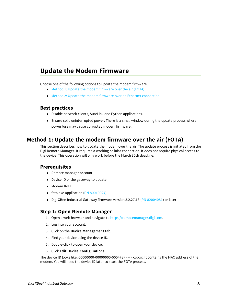# <span id="page-7-0"></span>**Update the Modem Firmware**

Choose one of the following options to update the modem firmware.

- Method 1: Update the modem [firmware](#page-7-2) over the air (FOTA)
- <span id="page-7-1"></span><sup>n</sup> Method 2: Update the modem firmware over an Ethernet [connection](#page-12-1)

#### **Best practices**

- Disable network clients, SureLink and Python applications.
- <sup>n</sup> Ensure solid uninterrupted power. There is a small window during the update process where power loss may cause corrupted modem firmware.

### <span id="page-7-2"></span>**Method 1: Update the modem firmware over the air (FOTA)**

This section describes how to update the modem over the air. The update process is initiated from the Digi Remote Manager. It requires a working cellular connection. It does not require physical access to the device. This operation will only work before the March 30th deadline.

### <span id="page-7-3"></span>**Prerequisites**

- Remote manager account
- Device ID of the gateway to update
- $\blacksquare$  Modem IMEI
- fota.exe application (PN [80010027\)](ftp://ftp1.digi.com/support/telit/80010027.zip)
- <span id="page-7-4"></span>■ Digi XBee Industrial Gateway firmware version 3.2.27.13 (PN [82004081](https://www.digi.com/support/productdetail?pid=5640&type=firmware)) or later

#### **Step 1: Open Remote Manager**

- 1. Open a web browser and navigate to [https://remotemanager.digi.com.](https://remotemanager.digi.com/)
- 2. Log into your account.
- 3. Click on the **Device Management** tab.
- 4. Find your device using the device ID.
- 5. Double-click to open your device.
- 6. Click **Edit Device Configurations**.

The device ID looks like: 00000000-00000000-0004F3FF-FFxxxxxx. It contains the MAC address of the modem. You will need the device ID later to start the FOTA process.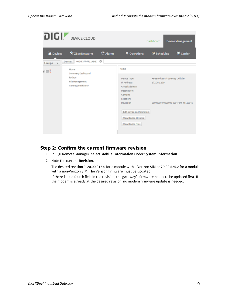| DIGI!                          | <b>DEVICE CLOUD</b>                          |                 |                                        | Dashboard                 | <b>Device Management</b>            |
|--------------------------------|----------------------------------------------|-----------------|----------------------------------------|---------------------------|-------------------------------------|
| <b>≚</b> Devices               | * XBee Networks                              | <b>M</b> Alarms | $\Phi$ Operations                      | <b><i>O</i></b> Schedules | <b>W</b> Carrier                    |
| Groups -                       | 0004F3FF-FF11994E<br><b>Devices</b>          | $\odot$         |                                        |                           |                                     |
| $\mathbf{0} \equiv \mathbf{0}$ | Home<br>Summary Dashboard                    |                 | Home                                   |                           |                                     |
|                                | Python                                       |                 | Device Type:                           |                           | XBee Industrial Gateway Cellular    |
|                                | File Management<br><b>Connection History</b> |                 | IP Address:                            | 172.20.1.139              |                                     |
|                                |                                              |                 | <b>Global Address:</b><br>Description: |                           |                                     |
|                                |                                              |                 | Contact:                               |                           |                                     |
|                                |                                              |                 | Location:                              |                           |                                     |
|                                |                                              |                 | Device ID:                             |                           | 00000000-00000000-0004F3FF-FF11994E |
|                                |                                              |                 | <b>Edit Device Configuration</b>       |                           |                                     |
|                                |                                              |                 | <b>View Device Streams</b>             |                           |                                     |
|                                |                                              |                 | <b>View Device Files</b>               |                           |                                     |
|                                |                                              |                 |                                        |                           |                                     |

#### <span id="page-8-0"></span>**Step 2: Confirm the current firmware revision**

- 1. In Digi Remote Manager, select **Mobile information** under **System Information**.
- 2. Note the current **Revision**.

The desired revision is 20.00.015.0 for a module with a Verizon SIM or 20.00.525.2 for a module with a non-Verizon SIM. The Verizon firmware must be updated.

If there isn't a fourth field in the revision, the gateway's firmware needs to be updated first. If the modem is already at the desired revision, no modem firmware update is needed.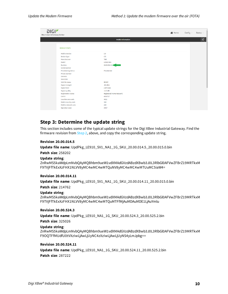| DIGIZ<br>XBee Industrial Gateway Cellular |                            |                           | <b>谷</b> Home | Config $\vee$ | Status $\vee$        |
|-------------------------------------------|----------------------------|---------------------------|---------------|---------------|----------------------|
|                                           |                            | <b>Mobile Information</b> |               |               | $\boxed{\mathbf{c}}$ |
|                                           |                            |                           |               |               |                      |
|                                           | <b>MOBILE STATS</b>        |                           |               |               |                      |
|                                           | <b>Mobile Version</b>      | 2.0                       |               |               |                      |
|                                           | <b>Device Type</b>         | LTE                       |               |               |                      |
|                                           | Manufacturer               | Telit                     |               |               |                      |
|                                           | Model                      | LE910-NA1                 |               |               |                      |
|                                           | Revision                   | $20.00.524.3 -$           |               |               |                      |
|                                           | Serial number              |                           |               |               |                      |
|                                           | <b>Provisioning status</b> | Provisioned               |               |               |                      |
|                                           | Phone number               |                           |               |               |                      |
|                                           | <b>SIM IMSI</b>            |                           |               |               |                      |
|                                           | <b>SIM ICCID</b>           |                           |               |               |                      |
|                                           | <b>SIM PIN status</b>      | <b>READY</b>              |               |               |                      |
|                                           | Signal strength            | $-98$ dBm                 |               |               |                      |
|                                           | <b>Signal level</b>        | 2 of 3 bars               |               |               |                      |
|                                           | <b>Signal quality</b>      | $-11.5$ dB                |               |               |                      |
|                                           | <b>Registration status</b> | Registered (Home Network) |               |               |                      |
|                                           | <b>Cell ID</b>             | 4E60717                   |               |               |                      |
|                                           | Location area code         | 4611                      |               |               |                      |
|                                           | Mobile country code        | 310                       |               |               |                      |
|                                           | Mobile network code        | 410                       |               |               |                      |
|                                           | Operator name              | AT&T                      |               |               |                      |
|                                           | $\sim$                     |                           |               |               |                      |

### <span id="page-9-0"></span>**Step 3: Determine the update string**

This section includes some of the typical update strings for the Digi XBee Industrial Gateway. Find the firmware revision from  $Step 2$  $Step 2$ , above, and copy the corresponding update string.

#### **Revision 20.00.014.5**

**Update file name**: UpdPkg\_LE910\_SV1\_NA1\_1G\_SKU\_20.00.014.5\_20.00.015.0.bin

**Patch size**: 258202

#### **Update string**:

ZnRwMS5kaWdpLmNvbQAyMQBhbm9ueW1vdXMAdGVzdABzdXBwb3J0L3RlbGl0AFVwZFBrZ19MRTkxM F9TVjFfTkExXzFHX1NLVV8yMC4wMC4wMTQuNV8yMC4wMC4wMTUuMC5iaW4=

#### **Revision 20.00.014.11**

**Update file name**: UpdPkg\_LE910\_SV1\_NA1\_1G\_SKU\_20.00.014.11\_20.00.015.0.bin

**Patch size**: 214762

#### **Update string**:

ZnRwMS5kaWdpLmNvbQAyMQBhbm9ueW1vdXMAdGVzdABzdXBwb3J0L3RlbGl0AFVwZFBrZ19MRTkxM F9TVjFfTkExXzFHX1NLVV8yMC4wMC4wMTQuMTFfMjAuMDAuMDE1LjAuYmlu

#### **Revision 20.00.524.3**

**Update file name**: UpdPkg\_LE910\_NA1\_1G\_SKU\_20.00.524.3\_20.00.525.2.bin

**Patch size**: 325026

#### **Update string**:

ZnRwMS5kaWdpLmNvbQAyMQBhbm9ueW1vdXMAdGVzdABzdXBwb3J0L3RlbGl0AFVwZFBrZ19MRTkxM F9OQTFfMUdfU0tVXzIwLjAwLjUyNC4zXzIwLjAwLjUyNS4yLmJpbg==

#### **Revision 20.00.524.11**

**Update file name**: UpdPkg\_LE910\_NA1\_1G\_SKU\_20.00.524.11\_20.00.525.2.bin **Patch size**: 287222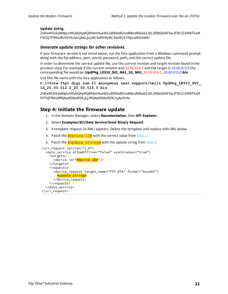#### **Update string**:

ZnRwMS5kaWdpLmNvbQAyMQBhbm9ueW1vdXMAdGVzdABzdXBwb3J0L3RlbGl0AFVwZFBrZ19MRTkxM F9OQTFfMUdfU0tVXzIwLjAwLjUyNC4xMV8yMC4wMC41MjUuMi5iaW4=

#### *Generate update strings for other revisions*

If your firmware version is not listed above, run the fota application from a Windows command prompt along with the ftp address, port, userid, password, path, and the correct update file.

In order to determine the correct update file, use the current revision and target revision found in the previous step. For example if the current revision was 20.00.014.3 and the target is 20.00.015.0 the corresponding file would be: **UpdPkg\_LE910\_SV1\_NA1\_1G\_SKU\_**20.00.014.3\_20.00.015.0.**bin**

Use this file name with the fota application as follows:

**C:\>fota ftp1.digi.com 21 anonymous test support/telit UpdPkg\_LE910\_SV1\_ 1G\_20.00.012.2\_20.00.015.0.bin**

ZnRwMS5kaWdpLmNvbQAyMQBhbm9ueW1vdXMAdGVzdABzdXBwb3J0L3RlbGl0AFVwZFBrZ19MRTkxM F9TVjFfMUdfMjAuMDAuMDEyLjJfMjAuMDAuMDE1LjAuYmlu

#### <span id="page-10-0"></span>**Step 4: Initiate the firmware update**

- 1. In the Remote Manager, select **Documentation**, then **API Explorer**.
- 2. Select **Examples/SCI/Data Service/Send Binary Request**.
- 3. A template request (in XML) appears. Delete the template and replace with XML below.
- 4. Patch the  $\frac{4}{7}$ Device ID# with the correct value from [step](#page-7-4) 1.
- 5. Patch the  $\frac{4}{1}$ update string  $\frac{4}{1}$  with the update string from [step](#page-9-0) 3.

```
<sci_request version="1.0">
  <data_service allowOffline="false" synchronous="true">
   <targets>
     <device id="#Device ID#"/>
   </targets>
    <requests>
      <device_request target_name="FTP_OTA" format="base64">
        #update string#
      </device_request>
    </requests>
  </data_service>
</sci_request>
```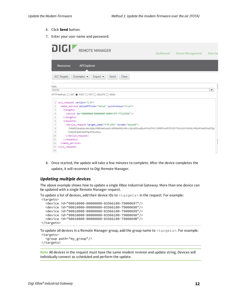- 6. Click **Send** button.
- 7. Enter your user name and password.

|                          | DIGI!<br><b>REMOTE MANAGER</b><br>Dashboard<br><b>Device Management</b><br>Data Ser                                                                                                      |  |
|--------------------------|------------------------------------------------------------------------------------------------------------------------------------------------------------------------------------------|--|
|                          | <b>API Explorer</b><br><b>Resources</b>                                                                                                                                                  |  |
|                          | Examples v<br><b>SCI</b> Targets<br>Export $\blacktriangleright$<br>Send<br>Clear                                                                                                        |  |
| Path:<br>/ws/sci         | ۰                                                                                                                                                                                        |  |
|                          | HTTP Method: ○ GET ● POST ○ PUT ○ DELETE ○ HEAD                                                                                                                                          |  |
|                          | 1 <sci_request_version="1.0"></sci_request_version="1.0">                                                                                                                                |  |
| $\overline{2}$           | <data_service_allowoffline="false"_synchronous="true"></data_service_allowoffline="false"_synchronous="true">                                                                            |  |
| 3                        | <targets></targets>                                                                                                                                                                      |  |
| 4                        | <device id="00000000-00000000-0004F3FF-FF123456"></device>                                                                                                                               |  |
| $\overline{\phantom{a}}$ |                                                                                                                                                                                          |  |
| 6                        | <requests></requests>                                                                                                                                                                    |  |
| 7<br>8                   | <device_request format="base64" target_name="FTP_OTA"><br/>ZnRwMS5kaWdpLmNvbQAyMABhbm9ueW1vdXMAAHN1cHBvcnQvdGVsaXQvAFVwZFBrZ19MRTkxMF9TVjFfTkExXzFHX1NLVV8yMC4wMC4WMTQu</device_request> |  |
| 9                        | M18yMC4wMC4wMTQuMTEuYmlu                                                                                                                                                                 |  |
| 10                       |                                                                                                                                                                                          |  |
| 11                       |                                                                                                                                                                                          |  |
| 12                       |                                                                                                                                                                                          |  |
|                          | 13                                                                                                                                                                                       |  |
| 14                       |                                                                                                                                                                                          |  |
|                          |                                                                                                                                                                                          |  |

8. Once started, the update will take a few minutes to complete. After the device completes the update, it will reconnect to Digi Remote Manager.

#### *Updating multiple devices*

The above example shows how to update a single XBee Industrial Gateway. More than one device can be updated with a single Remote Manager request.

```
To update a list of devices, add their device IDs to <targets> in the request. For example:
<targets>
  <device id="00010000-00000000-03566100-79000697"/>
  <device id="00010000-00000000-03566100-79000698"/>
  <device id="00010000-00000000-03566100-79000699"/>
  <device id="00010000-00000000-03566100-7900069A"/>
  <device id="00010000-00000000-03566100-7900069B"/>
</targets>
```
To update all devices in a Remote Manager group, add the group name to <targets>. For example: <targets>

```
<group path="my_group"/>
</targets>
```
**Note** All devices in the request must have the same modem revision and update string. Devices will individually connect as scheduled and perform the update.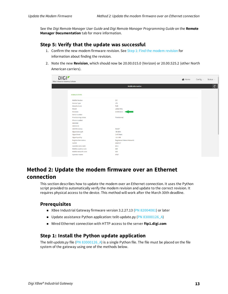See the *Digi Remote Manager User Guide* and *Digi Remote Manager Programming Guide* on the **Remote Manager Documentation** tab for more information.

#### <span id="page-12-0"></span>**Step 5: Verify that the update was successful**

- 1. Confirm the new modem firmware [revision](#page-4-2). See Step 1: Find the modem revision for information about finding the revision.
- 2. Note the new **Revision**, which should now be 20.00.015.0 (Verizon) or 20.00.525.2 (other North American carriers).

| DIGIZ<br>XBee Industrial Gateway Cellular |                           | <b>谷</b> Home<br>Config $\vee$<br>Status $\smallsmile$ |
|-------------------------------------------|---------------------------|--------------------------------------------------------|
|                                           | <b>Mobile Information</b> | $\boxed{\mathbf{c}}$                                   |
| <b>MOBILE STATS</b>                       |                           |                                                        |
| <b>Mobile Version</b>                     | 2.0                       |                                                        |
| <b>Device Type</b>                        | LTE                       |                                                        |
| Manufacturer                              | Telit                     |                                                        |
| Model                                     | LE910-NA1                 |                                                        |
| <b>Revision</b>                           | 20.00.525.0               |                                                        |
| Serial number                             |                           |                                                        |
| <b>Provisioning status</b>                | Provisioned               |                                                        |
| Phone number                              |                           |                                                        |
| <b>SIM IMSI</b>                           |                           |                                                        |
| <b>SIM ICCID</b>                          |                           |                                                        |
| <b>SIM PIN status</b>                     | <b>READY</b>              |                                                        |
| Signal strength                           | $-98$ dBm                 |                                                        |
| <b>Signal level</b>                       | 2 of 3 bars               |                                                        |
| <b>Signal quality</b>                     | $-11.5$ dB                |                                                        |
| <b>Registration status</b>                | Registered (Home Network) |                                                        |
| Cell ID                                   | 4E60717                   |                                                        |
| Location area code                        | 4611                      |                                                        |
| Mobile country code                       | 310                       |                                                        |
| Mobile network code                       | 410                       |                                                        |
| <b>Operator name</b>                      | AT&T                      |                                                        |

# <span id="page-12-1"></span>**Method 2: Update the modem firmware over an Ethernet connection**

This section describes how to update the modem over an Ethernet connection. It uses the Python script provided to automatically verify the modem revision and update to the correct revision. It requires physical access to the device. This method will work after the March 30th deadline.

#### <span id="page-12-2"></span>**Prerequisites**

- XBee Industrial Gateway firmware version 3.2.27.13 (PN [82004081](https://www.digi.com/support/productdetail?pid=5640&type=firmware)) or later
- Update assistance Python application: telit-update.py (PN [83000126\\_A](ftp://ftp1.digi.com/support/telit/83000126_A.zip))
- <span id="page-12-3"></span><sup>n</sup> Wired Ethernet connection with HTTP access to the server **ftp1.digi.com**

### **Step 1: Install the Python update application**

The *telit-update.py* file (PN [83000126\\_A](ftp://ftp1.digi.com/support/telit/83000126_A.zip)) is a single Python file. The file must be placed on the file system of the gateway using one of the methods below.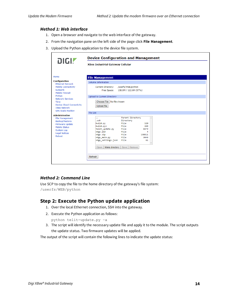#### *Method 1: Web interface*

- 1. Open a browser and navigate to the web interface of the gateway.
- 2. From the navigation pane on the left side of the page click **File Management**.
- 3. Upload the Python application to the device file system.

| <b>DIGI!</b>                                                                                                                                                        | <b>XBee Industrial Gateway Cellular</b>                                                                                                                                       |                                                                                                        |                                                 |  |  |
|---------------------------------------------------------------------------------------------------------------------------------------------------------------------|-------------------------------------------------------------------------------------------------------------------------------------------------------------------------------|--------------------------------------------------------------------------------------------------------|-------------------------------------------------|--|--|
| Home                                                                                                                                                                | <b>File Management</b>                                                                                                                                                        |                                                                                                        |                                                 |  |  |
| <b>Configuration</b>                                                                                                                                                | <b>Volume Information</b>                                                                                                                                                     |                                                                                                        |                                                 |  |  |
| <b>Ethernet Network</b><br><b>Mobile Connectivity</b><br>SureLink<br><b>Mobile Firewall</b>                                                                         | <b>Current Directory:</b><br><b>Free Space:</b>                                                                                                                               | /userfs/WEB/python<br>108.9M / 112.0M (97%)                                                            |                                                 |  |  |
| Python                                                                                                                                                              | <b>Upload to Current Directory</b>                                                                                                                                            |                                                                                                        |                                                 |  |  |
| <b>Network Services</b><br>Time<br><b>Device Cloud Connectivity</b><br><b>XBee Network</b>                                                                          | Choose File No file chosen<br>Upload file                                                                                                                                     |                                                                                                        |                                                 |  |  |
| <b>GPS Static Position</b>                                                                                                                                          | <b>File List</b>                                                                                                                                                              |                                                                                                        |                                                 |  |  |
| <b>Administration</b><br><b>File Management</b><br>Backup/Restore<br><b>Firmware Update</b><br>Mobile Status<br><b>System Log</b><br><b>Legal Notices</b><br>Reboot | $\ddot{\phantom{0}}$<br>.ssh<br>build.py<br>build.pyc<br>telit update.py<br>xbgw.pid<br>xbgw.zip<br>xbgw_main.py<br>xbgw_settings.json<br>Make directory<br>Open  <br>Refresh | Parent Directory<br>Directory<br>File<br>File<br>File<br>File<br>File<br>File<br>File<br>Save   Remove | 120<br>268<br>6879<br>4<br>138811<br>3048<br>61 |  |  |

#### *Method 2: Command Line*

Use SCP to copy the file to the home directory of the gateway's file system: /userfs/WEB/python

#### <span id="page-13-0"></span>**Step 2: Execute the Python update application**

- 1. Over the local Ethernet connection, SSH into the gateway.
- 2. Execute the Python application as follows:

python telit-update.py –a

3. The script will identify the necessary update file and apply it to the module. The script outputs the update status. Two firmware updates will be applied.

The output of the script will contain the following lines to indicate the update status: